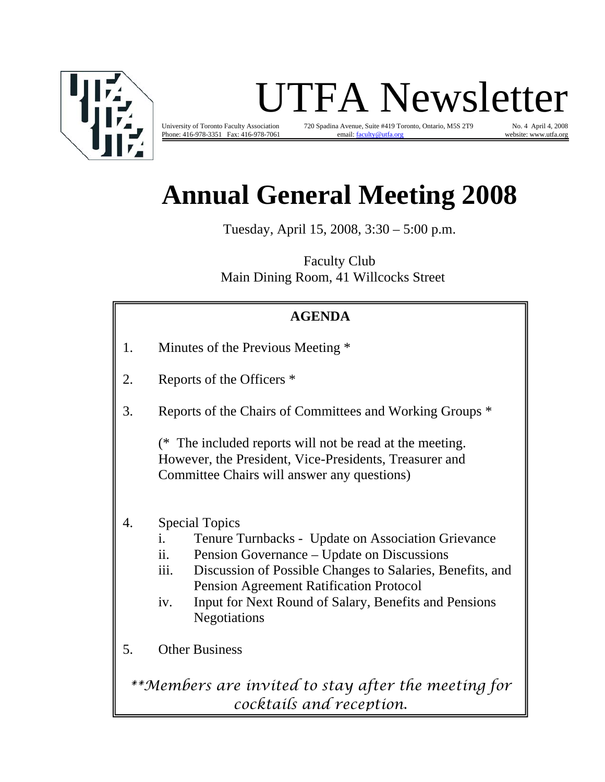

# UTFA Newsletter

Phone: 416-978-3351 Fax: 416-978-7061 email: faculty@utfa.org website: www.utfa.org website: www.utfa.org website: www.utfa.org website: www.utfa.org website: www.utfa.org website: www.utfa.org website: www.utfa.org websit

University of Toronto Faculty Association 720 Spadina Avenue, Suite #419 Toronto, Ontario, M5S 2T9 No. 4 April 4, 2008<br>Phone: 416-978-3351 Fax: 416-978-7061 email: faculty@utfa.org vebsite: www.utfa.org

## **Annual General Meeting 2008**

Tuesday, April 15, 2008, 3:30 – 5:00 p.m.

Faculty Club Main Dining Room, 41 Willcocks Street

## **AGENDA**

- 1. Minutes of the Previous Meeting \*
- 2. Reports of the Officers \*
- 3. Reports of the Chairs of Committees and Working Groups \*

(\* The included reports will not be read at the meeting. However, the President, Vice-Presidents, Treasurer and Committee Chairs will answer any questions)

- 4. Special Topics
	- i. Tenure Turnbacks Update on Association Grievance
	- ii. Pension Governance Update on Discussions
	- iii. Discussion of Possible Changes to Salaries, Benefits, and Pension Agreement Ratification Protocol
	- iv. Input for Next Round of Salary, Benefits and Pensions Negotiations
- 5. Other Business

*\*\*Members are invited to stay after the meeting for cocktails and reception.*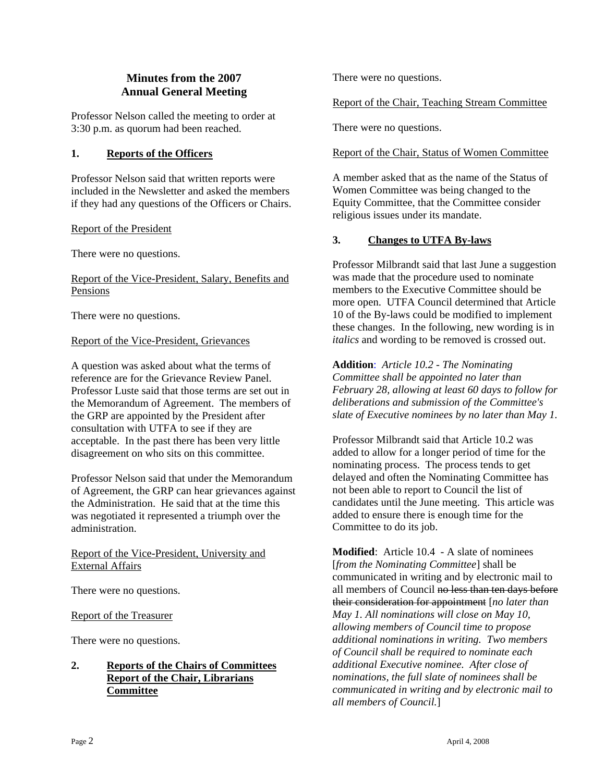#### **Minutes from the 2007 Annual General Meeting**

Professor Nelson called the meeting to order at 3:30 p.m. as quorum had been reached.

#### **1. Reports of the Officers**

Professor Nelson said that written reports were included in the Newsletter and asked the members if they had any questions of the Officers or Chairs.

#### Report of the President

There were no questions.

#### Report of the Vice-President, Salary, Benefits and Pensions

There were no questions.

#### Report of the Vice-President, Grievances

A question was asked about what the terms of reference are for the Grievance Review Panel. Professor Luste said that those terms are set out in the Memorandum of Agreement. The members of the GRP are appointed by the President after consultation with UTFA to see if they are acceptable. In the past there has been very little disagreement on who sits on this committee.

Professor Nelson said that under the Memorandum of Agreement, the GRP can hear grievances against the Administration. He said that at the time this was negotiated it represented a triumph over the administration.

Report of the Vice-President, University and External Affairs

There were no questions.

Report of the Treasurer

There were no questions.

#### **2. Reports of the Chairs of Committees Report of the Chair, Librarians Committee**

There were no questions.

#### Report of the Chair, Teaching Stream Committee

There were no questions.

#### Report of the Chair, Status of Women Committee

A member asked that as the name of the Status of Women Committee was being changed to the Equity Committee, that the Committee consider religious issues under its mandate.

#### **3. Changes to UTFA By-laws**

Professor Milbrandt said that last June a suggestion was made that the procedure used to nominate members to the Executive Committee should be more open. UTFA Council determined that Article 10 of the By-laws could be modified to implement these changes. In the following, new wording is in *italics* and wording to be removed is crossed out.

**Addition**: *Article 10.2 - The Nominating Committee shall be appointed no later than February 28, allowing at least 60 days to follow for deliberations and submission of the Committee's slate of Executive nominees by no later than May 1.* 

Professor Milbrandt said that Article 10.2 was added to allow for a longer period of time for the nominating process. The process tends to get delayed and often the Nominating Committee has not been able to report to Council the list of candidates until the June meeting. This article was added to ensure there is enough time for the Committee to do its job.

**Modified**: Article 10.4 - A slate of nominees [*from the Nominating Committee*] shall be communicated in writing and by electronic mail to all members of Council no less than ten days before their consideration for appointment [*no later than May 1. All nominations will close on May 10, allowing members of Council time to propose additional nominations in writing. Two members of Council shall be required to nominate each additional Executive nominee. After close of nominations, the full slate of nominees shall be communicated in writing and by electronic mail to all members of Council.*]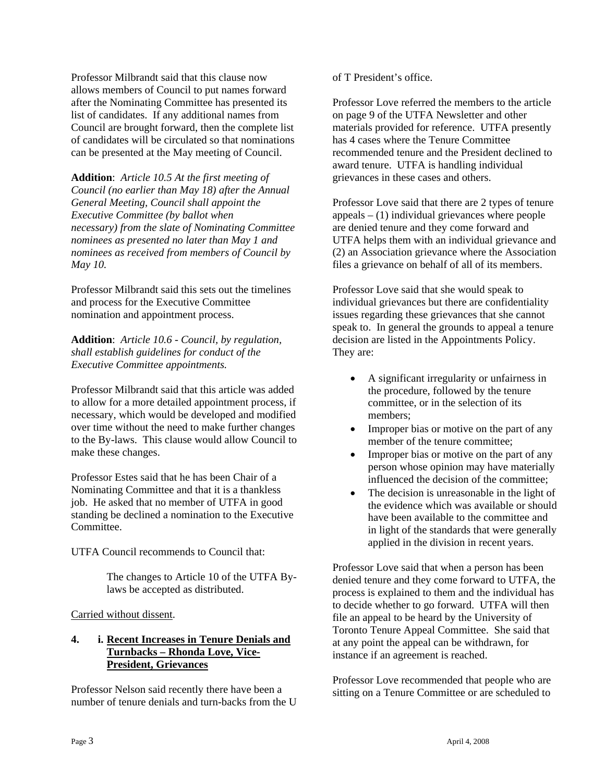Professor Milbrandt said that this clause now allows members of Council to put names forward after the Nominating Committee has presented its list of candidates. If any additional names from Council are brought forward, then the complete list of candidates will be circulated so that nominations can be presented at the May meeting of Council.

**Addition**: *Article 10.5 At the first meeting of Council (no earlier than May 18) after the Annual General Meeting, Council shall appoint the Executive Committee (by ballot when necessary) from the slate of Nominating Committee nominees as presented no later than May 1 and nominees as received from members of Council by May 10.* 

Professor Milbrandt said this sets out the timelines and process for the Executive Committee nomination and appointment process.

**Addition**: *Article 10.6 - Council, by regulation, shall establish guidelines for conduct of the Executive Committee appointments.* 

Professor Milbrandt said that this article was added to allow for a more detailed appointment process, if necessary, which would be developed and modified over time without the need to make further changes to the By-laws. This clause would allow Council to make these changes.

Professor Estes said that he has been Chair of a Nominating Committee and that it is a thankless job. He asked that no member of UTFA in good standing be declined a nomination to the Executive Committee.

UTFA Council recommends to Council that:

 The changes to Article 10 of the UTFA By laws be accepted as distributed.

#### Carried without dissent.

#### **4. i. Recent Increases in Tenure Denials and Turnbacks – Rhonda Love, Vice- President, Grievances**

Professor Nelson said recently there have been a number of tenure denials and turn-backs from the U of T President's office.

Professor Love referred the members to the article on page 9 of the UTFA Newsletter and other materials provided for reference. UTFA presently has 4 cases where the Tenure Committee recommended tenure and the President declined to award tenure. UTFA is handling individual grievances in these cases and others.

Professor Love said that there are 2 types of tenure  $appeals - (1)$  individual grievances where people are denied tenure and they come forward and UTFA helps them with an individual grievance and (2) an Association grievance where the Association files a grievance on behalf of all of its members.

Professor Love said that she would speak to individual grievances but there are confidentiality issues regarding these grievances that she cannot speak to. In general the grounds to appeal a tenure decision are listed in the Appointments Policy. They are:

- A significant irregularity or unfairness in the procedure, followed by the tenure committee, or in the selection of its members;
- Improper bias or motive on the part of any member of the tenure committee;
- Improper bias or motive on the part of any person whose opinion may have materially influenced the decision of the committee;
- The decision is unreasonable in the light of the evidence which was available or should have been available to the committee and in light of the standards that were generally applied in the division in recent years.

Professor Love said that when a person has been denied tenure and they come forward to UTFA, the process is explained to them and the individual has to decide whether to go forward. UTFA will then file an appeal to be heard by the University of Toronto Tenure Appeal Committee. She said that at any point the appeal can be withdrawn, for instance if an agreement is reached.

Professor Love recommended that people who are sitting on a Tenure Committee or are scheduled to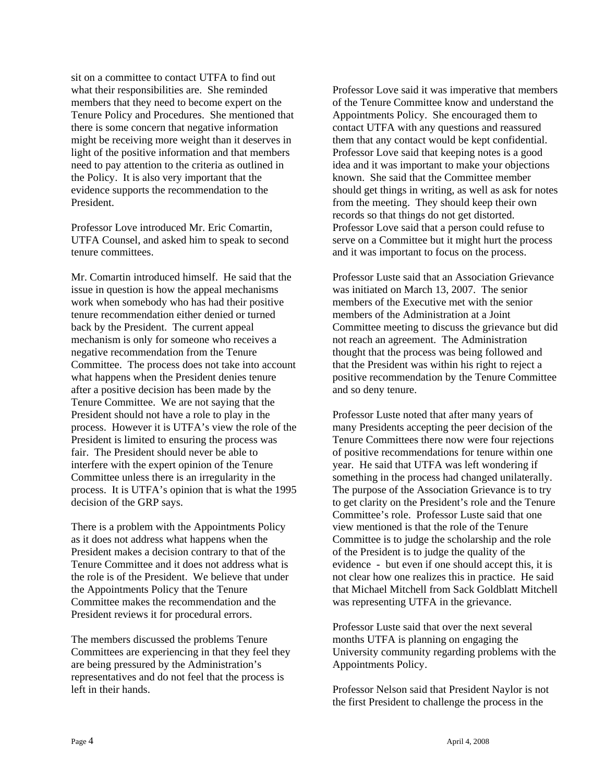sit on a committee to contact UTFA to find out what their responsibilities are. She reminded members that they need to become expert on the Tenure Policy and Procedures. She mentioned that there is some concern that negative information might be receiving more weight than it deserves in light of the positive information and that members need to pay attention to the criteria as outlined in the Policy. It is also very important that the evidence supports the recommendation to the President.

Professor Love introduced Mr. Eric Comartin, UTFA Counsel, and asked him to speak to second tenure committees.

Mr. Comartin introduced himself. He said that the issue in question is how the appeal mechanisms work when somebody who has had their positive tenure recommendation either denied or turned back by the President. The current appeal mechanism is only for someone who receives a negative recommendation from the Tenure Committee. The process does not take into account what happens when the President denies tenure after a positive decision has been made by the Tenure Committee. We are not saying that the President should not have a role to play in the process. However it is UTFA's view the role of the President is limited to ensuring the process was fair. The President should never be able to interfere with the expert opinion of the Tenure Committee unless there is an irregularity in the process. It is UTFA's opinion that is what the 1995 decision of the GRP says.

There is a problem with the Appointments Policy as it does not address what happens when the President makes a decision contrary to that of the Tenure Committee and it does not address what is the role is of the President. We believe that under the Appointments Policy that the Tenure Committee makes the recommendation and the President reviews it for procedural errors.

The members discussed the problems Tenure Committees are experiencing in that they feel they are being pressured by the Administration's representatives and do not feel that the process is left in their hands.

Professor Love said it was imperative that members of the Tenure Committee know and understand the Appointments Policy. She encouraged them to contact UTFA with any questions and reassured them that any contact would be kept confidential. Professor Love said that keeping notes is a good idea and it was important to make your objections known. She said that the Committee member should get things in writing, as well as ask for notes from the meeting. They should keep their own records so that things do not get distorted. Professor Love said that a person could refuse to serve on a Committee but it might hurt the process and it was important to focus on the process.

Professor Luste said that an Association Grievance was initiated on March 13, 2007. The senior members of the Executive met with the senior members of the Administration at a Joint Committee meeting to discuss the grievance but did not reach an agreement. The Administration thought that the process was being followed and that the President was within his right to reject a positive recommendation by the Tenure Committee and so deny tenure.

Professor Luste noted that after many years of many Presidents accepting the peer decision of the Tenure Committees there now were four rejections of positive recommendations for tenure within one year. He said that UTFA was left wondering if something in the process had changed unilaterally. The purpose of the Association Grievance is to try to get clarity on the President's role and the Tenure Committee's role. Professor Luste said that one view mentioned is that the role of the Tenure Committee is to judge the scholarship and the role of the President is to judge the quality of the evidence - but even if one should accept this, it is not clear how one realizes this in practice. He said that Michael Mitchell from Sack Goldblatt Mitchell was representing UTFA in the grievance.

Professor Luste said that over the next several months UTFA is planning on engaging the University community regarding problems with the Appointments Policy.

Professor Nelson said that President Naylor is not the first President to challenge the process in the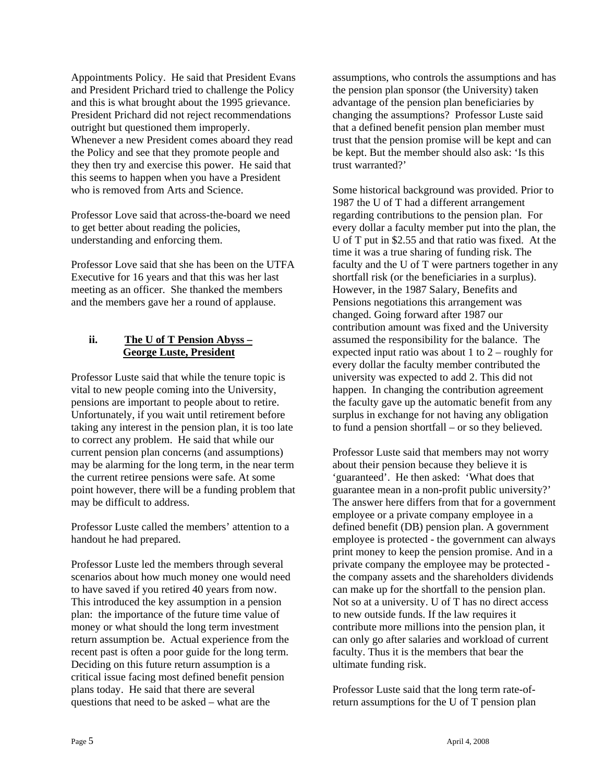Appointments Policy. He said that President Evans and President Prichard tried to challenge the Policy and this is what brought about the 1995 grievance. President Prichard did not reject recommendations outright but questioned them improperly. Whenever a new President comes aboard they read the Policy and see that they promote people and they then try and exercise this power. He said that this seems to happen when you have a President who is removed from Arts and Science.

Professor Love said that across-the-board we need to get better about reading the policies, understanding and enforcing them.

Professor Love said that she has been on the UTFA Executive for 16 years and that this was her last meeting as an officer. She thanked the members and the members gave her a round of applause.

#### **ii. The U of T Pension Abyss – George Luste, President**

Professor Luste said that while the tenure topic is vital to new people coming into the University, pensions are important to people about to retire. Unfortunately, if you wait until retirement before taking any interest in the pension plan, it is too late to correct any problem. He said that while our current pension plan concerns (and assumptions) may be alarming for the long term, in the near term the current retiree pensions were safe. At some point however, there will be a funding problem that may be difficult to address.

Professor Luste called the members' attention to a handout he had prepared.

Professor Luste led the members through several scenarios about how much money one would need to have saved if you retired 40 years from now. This introduced the key assumption in a pension plan: the importance of the future time value of money or what should the long term investment return assumption be. Actual experience from the recent past is often a poor guide for the long term. Deciding on this future return assumption is a critical issue facing most defined benefit pension plans today. He said that there are several questions that need to be asked – what are the

assumptions, who controls the assumptions and has the pension plan sponsor (the University) taken advantage of the pension plan beneficiaries by changing the assumptions? Professor Luste said that a defined benefit pension plan member must trust that the pension promise will be kept and can be kept. But the member should also ask: 'Is this trust warranted?'

Some historical background was provided. Prior to 1987 the U of T had a different arrangement regarding contributions to the pension plan. For every dollar a faculty member put into the plan, the U of T put in \$2.55 and that ratio was fixed. At the time it was a true sharing of funding risk. The faculty and the U of T were partners together in any shortfall risk (or the beneficiaries in a surplus). However, in the 1987 Salary, Benefits and Pensions negotiations this arrangement was changed. Going forward after 1987 our contribution amount was fixed and the University assumed the responsibility for the balance. The expected input ratio was about 1 to  $2$  – roughly for every dollar the faculty member contributed the university was expected to add 2. This did not happen. In changing the contribution agreement the faculty gave up the automatic benefit from any surplus in exchange for not having any obligation to fund a pension shortfall – or so they believed.

Professor Luste said that members may not worry about their pension because they believe it is 'guaranteed'. He then asked: 'What does that guarantee mean in a non-profit public university?' The answer here differs from that for a government employee or a private company employee in a defined benefit (DB) pension plan. A government employee is protected - the government can always print money to keep the pension promise. And in a private company the employee may be protected the company assets and the shareholders dividends can make up for the shortfall to the pension plan. Not so at a university. U of T has no direct access to new outside funds. If the law requires it contribute more millions into the pension plan, it can only go after salaries and workload of current faculty. Thus it is the members that bear the ultimate funding risk.

Professor Luste said that the long term rate-ofreturn assumptions for the U of T pension plan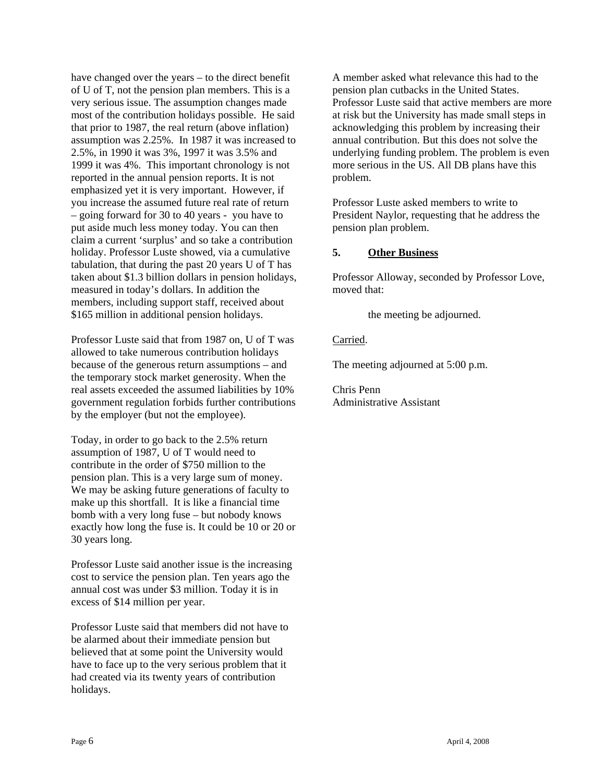have changed over the years – to the direct benefit of U of T, not the pension plan members. This is a very serious issue. The assumption changes made most of the contribution holidays possible. He said that prior to 1987, the real return (above inflation) assumption was 2.25%. In 1987 it was increased to 2.5%, in 1990 it was 3%, 1997 it was 3.5% and 1999 it was 4%. This important chronology is not reported in the annual pension reports. It is not emphasized yet it is very important. However, if you increase the assumed future real rate of return – going forward for 30 to 40 years - you have to put aside much less money today. You can then claim a current 'surplus' and so take a contribution holiday. Professor Luste showed, via a cumulative tabulation, that during the past 20 years U of T has taken about \$1.3 billion dollars in pension holidays, measured in today's dollars. In addition the members, including support staff, received about \$165 million in additional pension holidays.

Professor Luste said that from 1987 on, U of T was allowed to take numerous contribution holidays because of the generous return assumptions – and the temporary stock market generosity. When the real assets exceeded the assumed liabilities by 10% government regulation forbids further contributions by the employer (but not the employee).

Today, in order to go back to the 2.5% return assumption of 1987, U of T would need to contribute in the order of \$750 million to the pension plan. This is a very large sum of money. We may be asking future generations of faculty to make up this shortfall. It is like a financial time bomb with a very long fuse – but nobody knows exactly how long the fuse is. It could be 10 or 20 or 30 years long.

Professor Luste said another issue is the increasing cost to service the pension plan. Ten years ago the annual cost was under \$3 million. Today it is in excess of \$14 million per year.

Professor Luste said that members did not have to be alarmed about their immediate pension but believed that at some point the University would have to face up to the very serious problem that it had created via its twenty years of contribution holidays.

A member asked what relevance this had to the pension plan cutbacks in the United States. Professor Luste said that active members are more at risk but the University has made small steps in acknowledging this problem by increasing their annual contribution. But this does not solve the underlying funding problem. The problem is even more serious in the US. All DB plans have this problem.

Professor Luste asked members to write to President Naylor, requesting that he address the pension plan problem.

#### **5. Other Business**

Professor Alloway, seconded by Professor Love, moved that:

the meeting be adjourned.

#### Carried.

The meeting adjourned at 5:00 p.m.

Chris Penn Administrative Assistant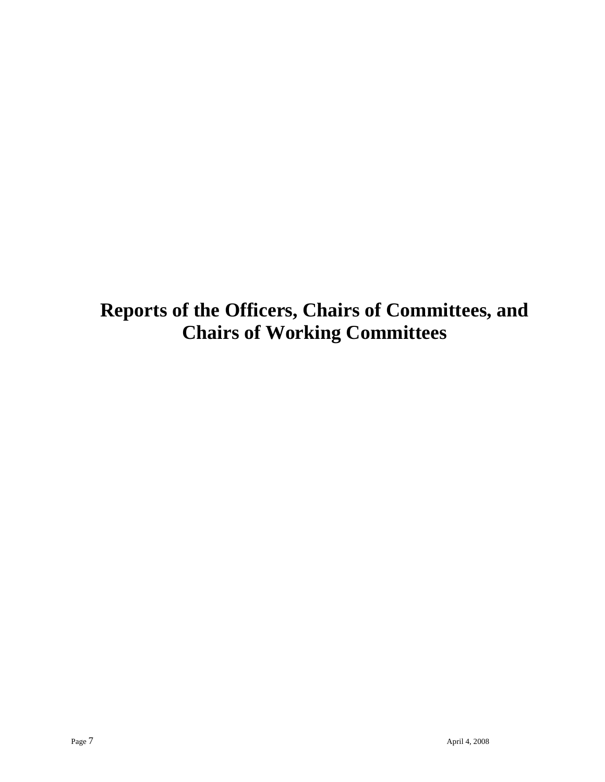**Reports of the Officers, Chairs of Committees, and Chairs of Working Committees**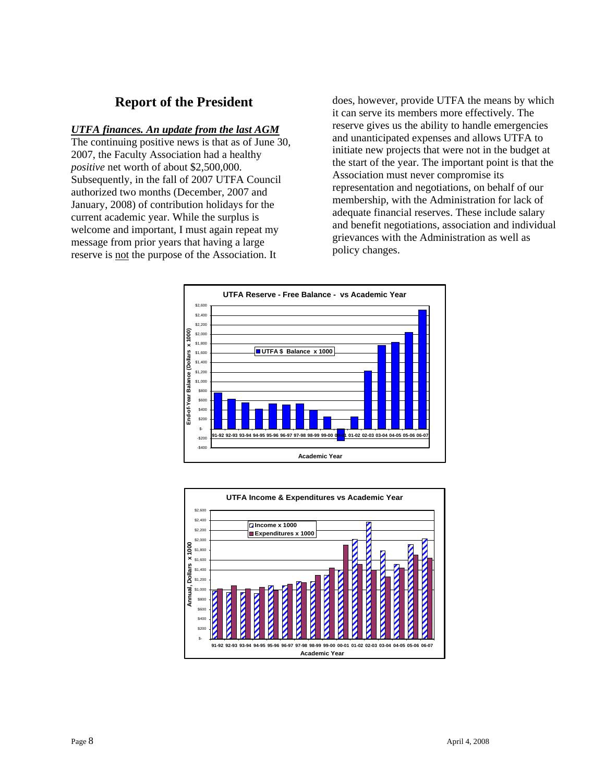## **Report of the President**

#### *UTFA finances. An update from the last AGM*

The continuing positive news is that as of June 30, 2007, the Faculty Association had a healthy *positive* net worth of about \$2,500,000. Subsequently, in the fall of 2007 UTFA Council authorized two months (December, 2007 and January, 2008) of contribution holidays for the current academic year. While the surplus is welcome and important, I must again repeat my message from prior years that having a large reserve is not the purpose of the Association. It

does, however, provide UTFA the means by which it can serve its members more effectively. The reserve gives us the ability to handle emergencies and unanticipated expenses and allows UTFA to initiate new projects that were not in the budget at the start of the year. The important point is that the Association must never compromise its representation and negotiations, on behalf of our membership, with the Administration for lack of adequate financial reserves. These include salary and benefit negotiations, association and individual grievances with the Administration as well as policy changes.



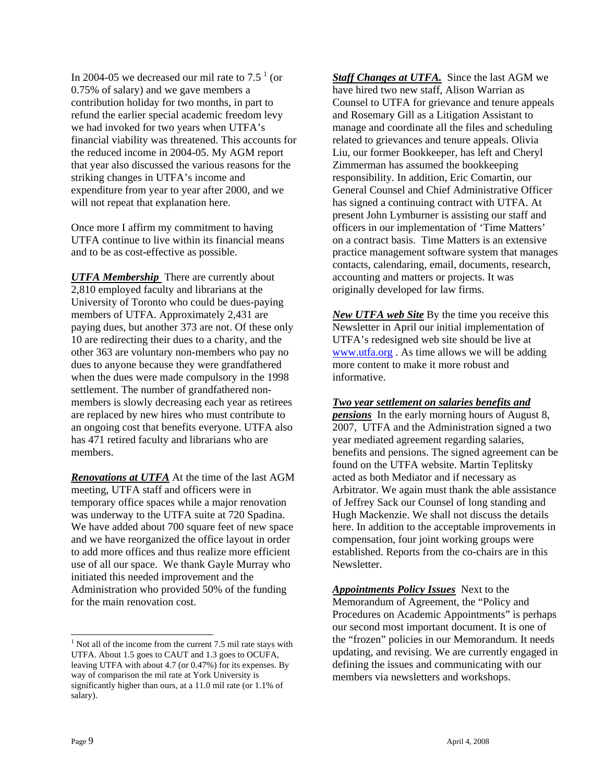In 2004-05 we decreased our mil rate to  $7.5<sup>1</sup>$  (or 0.75% of salary) and we gave members a contribution holiday for two months, in part to refund the earlier special academic freedom levy we had invoked for two years when UTFA's financial viability was threatened. This accounts for the reduced income in 2004-05. My AGM report that year also discussed the various reasons for the striking changes in UTFA's income and expenditure from year to year after 2000, and we will not repeat that explanation here.

Once more I affirm my commitment to having UTFA continue to live within its financial means and to be as cost-effective as possible.

*UTFA Membership* There are currently about 2,810 employed faculty and librarians at the University of Toronto who could be dues-paying members of UTFA. Approximately 2,431 are paying dues, but another 373 are not. Of these only 10 are redirecting their dues to a charity, and the other 363 are voluntary non-members who pay no dues to anyone because they were grandfathered when the dues were made compulsory in the 1998 settlement. The number of grandfathered nonmembers is slowly decreasing each year as retirees are replaced by new hires who must contribute to an ongoing cost that benefits everyone. UTFA also has 471 retired faculty and librarians who are members.

*Renovations at UTFA* At the time of the last AGM meeting, UTFA staff and officers were in temporary office spaces while a major renovation was underway to the UTFA suite at 720 Spadina. We have added about 700 square feet of new space and we have reorganized the office layout in order to add more offices and thus realize more efficient use of all our space. We thank Gayle Murray who initiated this needed improvement and the Administration who provided 50% of the funding for the main renovation cost.

**Staff Changes at UTFA.** Since the last AGM we have hired two new staff, Alison Warrian as Counsel to UTFA for grievance and tenure appeals and Rosemary Gill as a Litigation Assistant to manage and coordinate all the files and scheduling related to grievances and tenure appeals. Olivia Liu, our former Bookkeeper, has left and Cheryl Zimmerman has assumed the bookkeeping responsibility. In addition, Eric Comartin, our General Counsel and Chief Administrative Officer has signed a continuing contract with UTFA. At present John Lymburner is assisting our staff and officers in our implementation of 'Time Matters' on a contract basis. Time Matters is an extensive practice management software system that manages contacts, calendaring, email, documents, research, accounting and matters or projects. It was originally developed for law firms.

*New UTFA web Site* By the time you receive this Newsletter in April our initial implementation of UTFA's redesigned web site should be live at www.utfa.org . As time allows we will be adding more content to make it more robust and informative.

#### *Two year settlement on salaries benefits and*

*pensions* In the early morning hours of August 8, 2007, UTFA and the Administration signed a two year mediated agreement regarding salaries, benefits and pensions. The signed agreement can be found on the UTFA website. Martin Teplitsky acted as both Mediator and if necessary as Arbitrator. We again must thank the able assistance of Jeffrey Sack our Counsel of long standing and Hugh Mackenzie. We shall not discuss the details here. In addition to the acceptable improvements in compensation, four joint working groups were established. Reports from the co-chairs are in this Newsletter.

*Appointments Policy Issues* Next to the Memorandum of Agreement, the "Policy and Procedures on Academic Appointments" is perhaps our second most important document. It is one of the "frozen" policies in our Memorandum. It needs updating, and revising. We are currently engaged in defining the issues and communicating with our members via newsletters and workshops.

 $\overline{a}$ 

 $<sup>1</sup>$  Not all of the income from the current 7.5 mil rate stays with</sup> UTFA. About 1.5 goes to CAUT and 1.3 goes to OCUFA, leaving UTFA with about 4.7 (or 0.47%) for its expenses. By way of comparison the mil rate at York University is significantly higher than ours, at a 11.0 mil rate (or 1.1% of salary).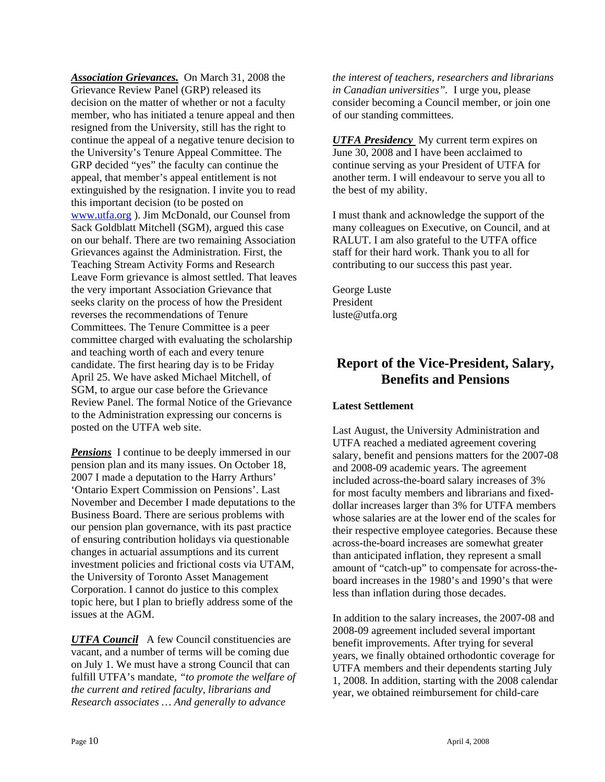*Association Grievances.* On March 31, 2008 the Grievance Review Panel (GRP) released its decision on the matter of whether or not a faculty member, who has initiated a tenure appeal and then resigned from the University, still has the right to continue the appeal of a negative tenure decision to the University's Tenure Appeal Committee. The GRP decided "yes" the faculty can continue the appeal, that member's appeal entitlement is not extinguished by the resignation. I invite you to read this important decision (to be posted on www.utfa.org ). Jim McDonald, our Counsel from Sack Goldblatt Mitchell (SGM), argued this case on our behalf. There are two remaining Association Grievances against the Administration. First, the Teaching Stream Activity Forms and Research Leave Form grievance is almost settled. That leaves the very important Association Grievance that seeks clarity on the process of how the President reverses the recommendations of Tenure Committees. The Tenure Committee is a peer committee charged with evaluating the scholarship and teaching worth of each and every tenure candidate. The first hearing day is to be Friday April 25. We have asked Michael Mitchell, of SGM, to argue our case before the Grievance Review Panel. The formal Notice of the Grievance to the Administration expressing our concerns is posted on the UTFA web site.

*Pensions* I continue to be deeply immersed in our pension plan and its many issues. On October 18, 2007 I made a deputation to the Harry Arthurs' 'Ontario Expert Commission on Pensions'. Last November and December I made deputations to the Business Board. There are serious problems with our pension plan governance, with its past practice of ensuring contribution holidays via questionable changes in actuarial assumptions and its current investment policies and frictional costs via UTAM, the University of Toronto Asset Management Corporation. I cannot do justice to this complex topic here, but I plan to briefly address some of the issues at the AGM.

*UTFA Council* A few Council constituencies are vacant, and a number of terms will be coming due on July 1. We must have a strong Council that can fulfill UTFA's mandate, *"to promote the welfare of the current and retired faculty, librarians and Research associates … And generally to advance* 

*the interest of teachers, researchers and librarians in Canadian universities".* I urge you, please consider becoming a Council member, or join one of our standing committees.

*UTFA Presidency* My current term expires on June 30, 2008 and I have been acclaimed to continue serving as your President of UTFA for another term. I will endeavour to serve you all to the best of my ability.

I must thank and acknowledge the support of the many colleagues on Executive, on Council, and at RALUT. I am also grateful to the UTFA office staff for their hard work. Thank you to all for contributing to our success this past year.

George Luste President luste@utfa.org

## **Report of the Vice-President, Salary, Benefits and Pensions**

#### **Latest Settlement**

Last August, the University Administration and UTFA reached a mediated agreement covering salary, benefit and pensions matters for the 2007-08 and 2008-09 academic years. The agreement included across-the-board salary increases of 3% for most faculty members and librarians and fixeddollar increases larger than 3% for UTFA members whose salaries are at the lower end of the scales for their respective employee categories. Because these across-the-board increases are somewhat greater than anticipated inflation, they represent a small amount of "catch-up" to compensate for across-theboard increases in the 1980's and 1990's that were less than inflation during those decades.

In addition to the salary increases, the 2007-08 and 2008-09 agreement included several important benefit improvements. After trying for several years, we finally obtained orthodontic coverage for UTFA members and their dependents starting July 1, 2008. In addition, starting with the 2008 calendar year, we obtained reimbursement for child-care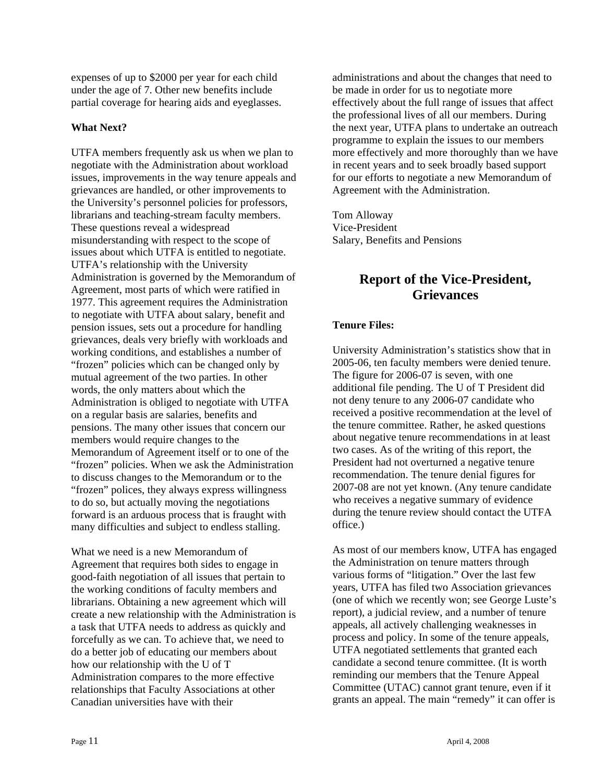expenses of up to \$2000 per year for each child under the age of 7. Other new benefits include partial coverage for hearing aids and eyeglasses.

#### **What Next?**

UTFA members frequently ask us when we plan to negotiate with the Administration about workload issues, improvements in the way tenure appeals and grievances are handled, or other improvements to the University's personnel policies for professors, librarians and teaching-stream faculty members. These questions reveal a widespread misunderstanding with respect to the scope of issues about which UTFA is entitled to negotiate. UTFA's relationship with the University Administration is governed by the Memorandum of Agreement, most parts of which were ratified in 1977. This agreement requires the Administration to negotiate with UTFA about salary, benefit and pension issues, sets out a procedure for handling grievances, deals very briefly with workloads and working conditions, and establishes a number of "frozen" policies which can be changed only by mutual agreement of the two parties. In other words, the only matters about which the Administration is obliged to negotiate with UTFA on a regular basis are salaries, benefits and pensions. The many other issues that concern our members would require changes to the Memorandum of Agreement itself or to one of the "frozen" policies. When we ask the Administration to discuss changes to the Memorandum or to the "frozen" polices, they always express willingness to do so, but actually moving the negotiations forward is an arduous process that is fraught with many difficulties and subject to endless stalling.

What we need is a new Memorandum of Agreement that requires both sides to engage in good-faith negotiation of all issues that pertain to the working conditions of faculty members and librarians. Obtaining a new agreement which will create a new relationship with the Administration is a task that UTFA needs to address as quickly and forcefully as we can. To achieve that, we need to do a better job of educating our members about how our relationship with the U of T Administration compares to the more effective relationships that Faculty Associations at other Canadian universities have with their

administrations and about the changes that need to be made in order for us to negotiate more effectively about the full range of issues that affect the professional lives of all our members. During the next year, UTFA plans to undertake an outreach programme to explain the issues to our members more effectively and more thoroughly than we have in recent years and to seek broadly based support for our efforts to negotiate a new Memorandum of Agreement with the Administration.

Tom Alloway Vice-President Salary, Benefits and Pensions

## **Report of the Vice-President, Grievances**

#### **Tenure Files:**

University Administration's statistics show that in 2005-06, ten faculty members were denied tenure. The figure for 2006-07 is seven, with one additional file pending. The U of T President did not deny tenure to any 2006-07 candidate who received a positive recommendation at the level of the tenure committee. Rather, he asked questions about negative tenure recommendations in at least two cases. As of the writing of this report, the President had not overturned a negative tenure recommendation. The tenure denial figures for 2007-08 are not yet known. (Any tenure candidate who receives a negative summary of evidence during the tenure review should contact the UTFA office.)

As most of our members know, UTFA has engaged the Administration on tenure matters through various forms of "litigation." Over the last few years, UTFA has filed two Association grievances (one of which we recently won; see George Luste's report), a judicial review, and a number of tenure appeals, all actively challenging weaknesses in process and policy. In some of the tenure appeals, UTFA negotiated settlements that granted each candidate a second tenure committee. (It is worth reminding our members that the Tenure Appeal Committee (UTAC) cannot grant tenure, even if it grants an appeal. The main "remedy" it can offer is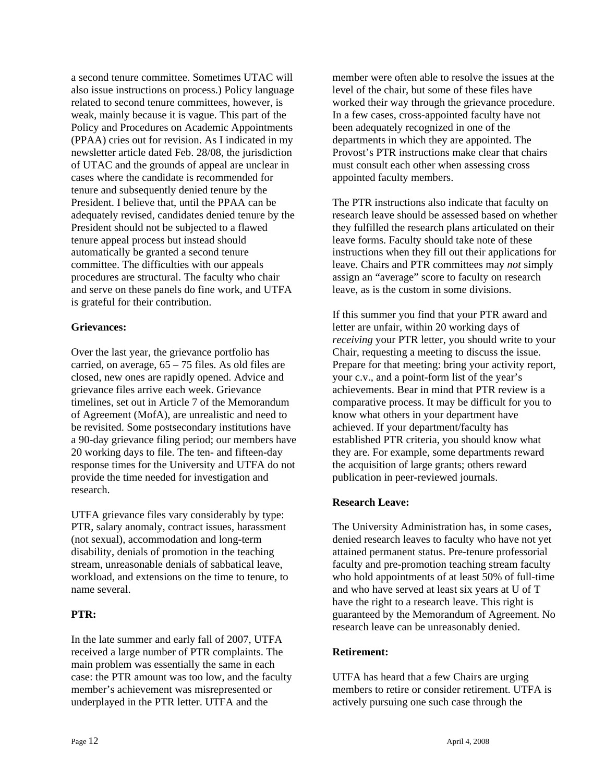a second tenure committee. Sometimes UTAC will also issue instructions on process.) Policy language related to second tenure committees, however, is weak, mainly because it is vague. This part of the Policy and Procedures on Academic Appointments (PPAA) cries out for revision. As I indicated in my newsletter article dated Feb. 28/08, the jurisdiction of UTAC and the grounds of appeal are unclear in cases where the candidate is recommended for tenure and subsequently denied tenure by the President. I believe that, until the PPAA can be adequately revised, candidates denied tenure by the President should not be subjected to a flawed tenure appeal process but instead should automatically be granted a second tenure committee. The difficulties with our appeals procedures are structural. The faculty who chair and serve on these panels do fine work, and UTFA is grateful for their contribution.

#### **Grievances:**

Over the last year, the grievance portfolio has carried, on average,  $65 - 75$  files. As old files are closed, new ones are rapidly opened. Advice and grievance files arrive each week. Grievance timelines, set out in Article 7 of the Memorandum of Agreement (MofA), are unrealistic and need to be revisited. Some postsecondary institutions have a 90-day grievance filing period; our members have 20 working days to file. The ten- and fifteen-day response times for the University and UTFA do not provide the time needed for investigation and research.

UTFA grievance files vary considerably by type: PTR, salary anomaly, contract issues, harassment (not sexual), accommodation and long-term disability, denials of promotion in the teaching stream, unreasonable denials of sabbatical leave, workload, and extensions on the time to tenure, to name several.

#### **PTR:**

In the late summer and early fall of 2007, UTFA received a large number of PTR complaints. The main problem was essentially the same in each case: the PTR amount was too low, and the faculty member's achievement was misrepresented or underplayed in the PTR letter. UTFA and the

member were often able to resolve the issues at the level of the chair, but some of these files have worked their way through the grievance procedure. In a few cases, cross-appointed faculty have not been adequately recognized in one of the departments in which they are appointed. The Provost's PTR instructions make clear that chairs must consult each other when assessing cross appointed faculty members.

The PTR instructions also indicate that faculty on research leave should be assessed based on whether they fulfilled the research plans articulated on their leave forms. Faculty should take note of these instructions when they fill out their applications for leave. Chairs and PTR committees may *not* simply assign an "average" score to faculty on research leave, as is the custom in some divisions.

If this summer you find that your PTR award and letter are unfair, within 20 working days of *receiving* your PTR letter, you should write to your Chair, requesting a meeting to discuss the issue. Prepare for that meeting: bring your activity report, your c.v., and a point-form list of the year's achievements. Bear in mind that PTR review is a comparative process. It may be difficult for you to know what others in your department have achieved. If your department/faculty has established PTR criteria, you should know what they are. For example, some departments reward the acquisition of large grants; others reward publication in peer-reviewed journals.

#### **Research Leave:**

The University Administration has, in some cases, denied research leaves to faculty who have not yet attained permanent status. Pre-tenure professorial faculty and pre-promotion teaching stream faculty who hold appointments of at least 50% of full-time and who have served at least six years at U of T have the right to a research leave. This right is guaranteed by the Memorandum of Agreement. No research leave can be unreasonably denied.

#### **Retirement:**

UTFA has heard that a few Chairs are urging members to retire or consider retirement. UTFA is actively pursuing one such case through the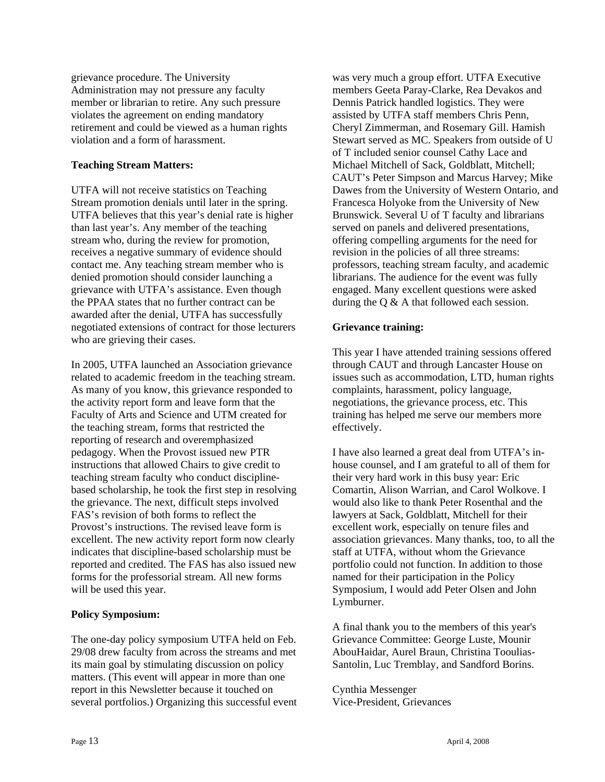grievance procedure. The University Administration may not pressure any faculty member or librarian to retire. Any such pressure violates the agreement on ending mandatory retirement and could be viewed as a human rights violation and a form of harassment.

#### **Teaching Stream Matters:**

UTFA will not receive statistics on Teaching Stream promotion denials until later in the spring. UTFA believes that this year's denial rate is higher than last year's. Any member of the teaching stream who, during the review for promotion, receives a negative summary of evidence should contact me. Any teaching stream member who is denied promotion should consider launching a grievance with UTFA's assistance. Even though the PPAA states that no further contract can be awarded after the denial, UTFA has successfully negotiated extensions of contract for those lecturers who are grieving their cases.

In 2005, UTFA launched an Association grievance related to academic freedom in the teaching stream. As many of you know, this grievance responded to the activity report form and leave form that the Faculty of Arts and Science and UTM created for the teaching stream, forms that restricted the reporting of research and overemphasized pedagogy. When the Provost issued new PTR instructions that allowed Chairs to give credit to teaching stream faculty who conduct disciplinebased scholarship, he took the first step in resolving the grievance. The next, difficult steps involved FAS's revision of both forms to reflect the Provost's instructions. The revised leave form is excellent. The new activity report form now clearly indicates that discipline-based scholarship must be reported and credited. The FAS has also issued new forms for the professorial stream. All new forms will be used this year.

#### **Policy Symposium:**

The one-day policy symposium UTFA held on Feb. 29/08 drew faculty from across the streams and met its main goal by stimulating discussion on policy matters. (This event will appear in more than one report in this Newsletter because it touched on several portfolios.) Organizing this successful event was very much a group effort. UTFA Executive members Geeta Paray-Clarke, Rea Devakos and Dennis Patrick handled logistics. They were assisted by UTFA staff members Chris Penn, Cheryl Zimmerman, and Rosemary Gill. Hamish Stewart served as MC. Speakers from outside of U of T included senior counsel Cathy Lace and Michael Mitchell of Sack, Goldblatt, Mitchell; CAUT's Peter Simpson and Marcus Harvey; Mike Dawes from the University of Western Ontario, and Francesca Holyoke from the University of New Brunswick. Several U of T faculty and librarians served on panels and delivered presentations, offering compelling arguments for the need for revision in the policies of all three streams: professors, teaching stream faculty, and academic librarians. The audience for the event was fully engaged. Many excellent questions were asked during the Q & A that followed each session.

#### **Grievance training:**

This year I have attended training sessions offered through CAUT and through Lancaster House on issues such as accommodation, LTD, human rights complaints, harassment, policy language, negotiations, the grievance process, etc. This training has helped me serve our members more effectively.

I have also learned a great deal from UTFA's inhouse counsel, and I am grateful to all of them for their very hard work in this busy year: Eric Comartin, Alison Warrian, and Carol Wolkove. I would also like to thank Peter Rosenthal and the lawyers at Sack, Goldblatt, Mitchell for their excellent work, especially on tenure files and association grievances. Many thanks, too, to all the staff at UTFA, without whom the Grievance portfolio could not function. In addition to those named for their participation in the Policy Symposium, I would add Peter Olsen and John Lymburner.

A final thank you to the members of this year's Grievance Committee: George Luste, Mounir AbouHaidar, Aurel Braun, Christina Tooulias-Santolin, Luc Tremblay, and Sandford Borins.

Cynthia Messenger Vice-President, Grievances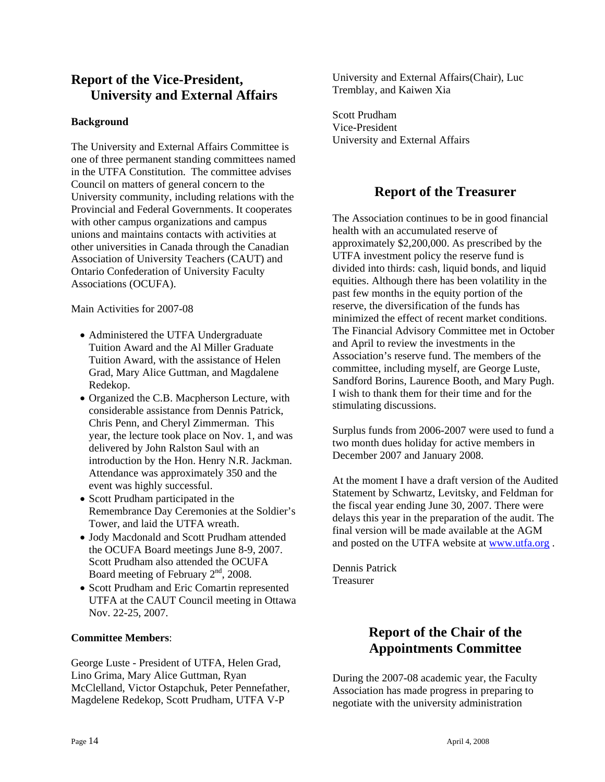## **Report of the Vice-President, University and External Affairs**

#### **Background**

The University and External Affairs Committee is one of three permanent standing committees named in the UTFA Constitution. The committee advises Council on matters of general concern to the University community, including relations with the Provincial and Federal Governments. It cooperates with other campus organizations and campus unions and maintains contacts with activities at other universities in Canada through the Canadian Association of University Teachers (CAUT) and Ontario Confederation of University Faculty Associations (OCUFA).

Main Activities for 2007-08

- Administered the UTFA Undergraduate Tuition Award and the Al Miller Graduate Tuition Award, with the assistance of Helen Grad, Mary Alice Guttman, and Magdalene Redekop.
- Organized the C.B. Macpherson Lecture, with considerable assistance from Dennis Patrick, Chris Penn, and Cheryl Zimmerman. This year, the lecture took place on Nov. 1, and was delivered by John Ralston Saul with an introduction by the Hon. Henry N.R. Jackman. Attendance was approximately 350 and the event was highly successful.
- Scott Prudham participated in the Remembrance Day Ceremonies at the Soldier's Tower, and laid the UTFA wreath.
- Jody Macdonald and Scott Prudham attended the OCUFA Board meetings June 8-9, 2007. Scott Prudham also attended the OCUFA Board meeting of February  $2<sup>nd</sup>$ , 2008.
- Scott Prudham and Eric Comartin represented UTFA at the CAUT Council meeting in Ottawa Nov. 22-25, 2007.

#### **Committee Members**:

George Luste - President of UTFA, Helen Grad, Lino Grima, Mary Alice Guttman, Ryan McClelland, Victor Ostapchuk, Peter Pennefather, Magdelene Redekop, Scott Prudham, UTFA V-P

University and External Affairs(Chair), Luc Tremblay, and Kaiwen Xia

Scott Prudham Vice-President University and External Affairs

## **Report of the Treasurer**

The Association continues to be in good financial health with an accumulated reserve of approximately \$2,200,000. As prescribed by the UTFA investment policy the reserve fund is divided into thirds: cash, liquid bonds, and liquid equities. Although there has been volatility in the past few months in the equity portion of the reserve, the diversification of the funds has minimized the effect of recent market conditions. The Financial Advisory Committee met in October and April to review the investments in the Association's reserve fund. The members of the committee, including myself, are George Luste, Sandford Borins, Laurence Booth, and Mary Pugh. I wish to thank them for their time and for the stimulating discussions.

Surplus funds from 2006-2007 were used to fund a two month dues holiday for active members in December 2007 and January 2008.

At the moment I have a draft version of the Audited Statement by Schwartz, Levitsky, and Feldman for the fiscal year ending June 30, 2007. There were delays this year in the preparation of the audit. The final version will be made available at the AGM and posted on the UTFA website at www.utfa.org.

Dennis Patrick Treasurer

## **Report of the Chair of the Appointments Committee**

During the 2007-08 academic year, the Faculty Association has made progress in preparing to negotiate with the university administration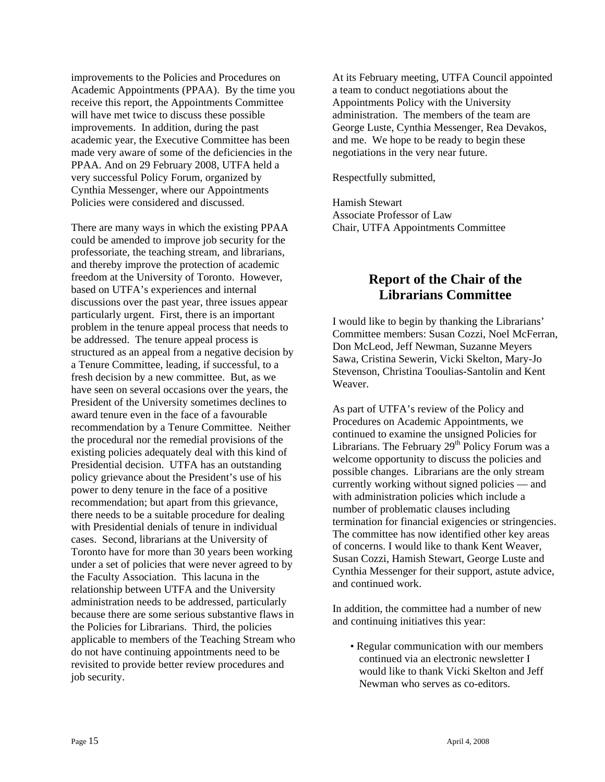improvements to the Policies and Procedures on Academic Appointments (PPAA). By the time you receive this report, the Appointments Committee will have met twice to discuss these possible improvements. In addition, during the past academic year, the Executive Committee has been made very aware of some of the deficiencies in the PPAA. And on 29 February 2008, UTFA held a very successful Policy Forum, organized by Cynthia Messenger, where our Appointments Policies were considered and discussed.

There are many ways in which the existing PPAA could be amended to improve job security for the professoriate, the teaching stream, and librarians, and thereby improve the protection of academic freedom at the University of Toronto. However, based on UTFA's experiences and internal discussions over the past year, three issues appear particularly urgent. First, there is an important problem in the tenure appeal process that needs to be addressed. The tenure appeal process is structured as an appeal from a negative decision by a Tenure Committee, leading, if successful, to a fresh decision by a new committee. But, as we have seen on several occasions over the years, the President of the University sometimes declines to award tenure even in the face of a favourable recommendation by a Tenure Committee. Neither the procedural nor the remedial provisions of the existing policies adequately deal with this kind of Presidential decision. UTFA has an outstanding policy grievance about the President's use of his power to deny tenure in the face of a positive recommendation; but apart from this grievance, there needs to be a suitable procedure for dealing with Presidential denials of tenure in individual cases. Second, librarians at the University of Toronto have for more than 30 years been working under a set of policies that were never agreed to by the Faculty Association. This lacuna in the relationship between UTFA and the University administration needs to be addressed, particularly because there are some serious substantive flaws in the Policies for Librarians. Third, the policies applicable to members of the Teaching Stream who do not have continuing appointments need to be revisited to provide better review procedures and job security.

At its February meeting, UTFA Council appointed a team to conduct negotiations about the Appointments Policy with the University administration. The members of the team are George Luste, Cynthia Messenger, Rea Devakos, and me. We hope to be ready to begin these negotiations in the very near future.

Respectfully submitted,

Hamish Stewart Associate Professor of Law Chair, UTFA Appointments Committee

## **Report of the Chair of the Librarians Committee**

I would like to begin by thanking the Librarians' Committee members: Susan Cozzi, Noel McFerran, Don McLeod, Jeff Newman, Suzanne Meyers Sawa, Cristina Sewerin, Vicki Skelton, Mary-Jo Stevenson, Christina Tooulias-Santolin and Kent Weaver.

As part of UTFA's review of the Policy and Procedures on Academic Appointments, we continued to examine the unsigned Policies for Librarians. The February  $29<sup>th</sup>$  Policy Forum was a welcome opportunity to discuss the policies and possible changes. Librarians are the only stream currently working without signed policies — and with administration policies which include a number of problematic clauses including termination for financial exigencies or stringencies. The committee has now identified other key areas of concerns. I would like to thank Kent Weaver, Susan Cozzi, Hamish Stewart, George Luste and Cynthia Messenger for their support, astute advice, and continued work.

In addition, the committee had a number of new and continuing initiatives this year:

• Regular communication with our members continued via an electronic newsletter I would like to thank Vicki Skelton and Jeff Newman who serves as co-editors.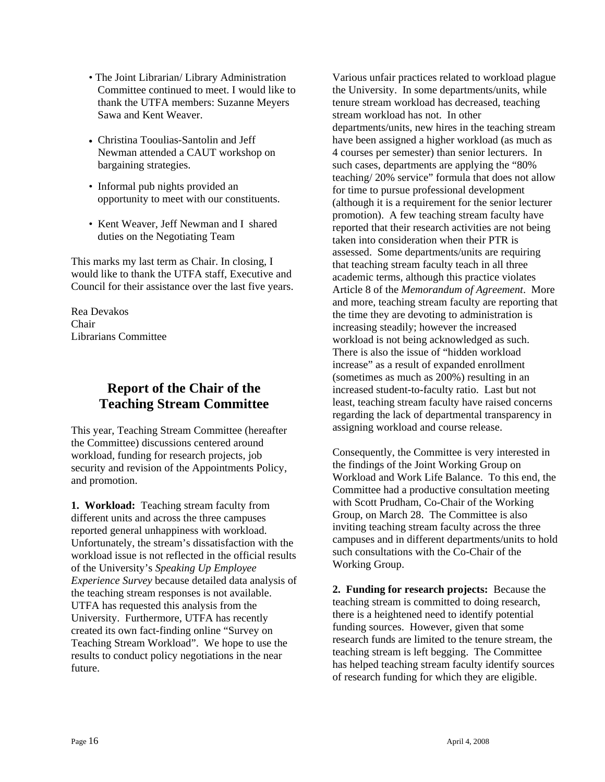- The Joint Librarian/ Library Administration Committee continued to meet. I would like to thank the UTFA members: Suzanne Meyers Sawa and Kent Weaver.
- Christina Tooulias-Santolin and Jeff Newman attended a CAUT workshop on bargaining strategies.
- Informal pub nights provided an opportunity to meet with our constituents.
- Kent Weaver, Jeff Newman and I shared duties on the Negotiating Team

This marks my last term as Chair. In closing, I would like to thank the UTFA staff, Executive and Council for their assistance over the last five years.

Rea Devakos Chair Librarians Committee

## **Report of the Chair of the Teaching Stream Committee**

This year, Teaching Stream Committee (hereafter the Committee) discussions centered around workload, funding for research projects, job security and revision of the Appointments Policy, and promotion.

**1. Workload:** Teaching stream faculty from different units and across the three campuses reported general unhappiness with workload. Unfortunately, the stream's dissatisfaction with the workload issue is not reflected in the official results of the University's *Speaking Up Employee Experience Survey* because detailed data analysis of the teaching stream responses is not available. UTFA has requested this analysis from the University. Furthermore, UTFA has recently created its own fact-finding online "Survey on Teaching Stream Workload". We hope to use the results to conduct policy negotiations in the near future.

Various unfair practices related to workload plague the University. In some departments/units, while tenure stream workload has decreased, teaching stream workload has not. In other departments/units, new hires in the teaching stream have been assigned a higher workload (as much as 4 courses per semester) than senior lecturers. In such cases, departments are applying the "80% teaching/ 20% service" formula that does not allow for time to pursue professional development (although it is a requirement for the senior lecturer promotion). A few teaching stream faculty have reported that their research activities are not being taken into consideration when their PTR is assessed. Some departments/units are requiring that teaching stream faculty teach in all three academic terms, although this practice violates Article 8 of the *Memorandum of Agreement*. More and more, teaching stream faculty are reporting that the time they are devoting to administration is increasing steadily; however the increased workload is not being acknowledged as such. There is also the issue of "hidden workload increase" as a result of expanded enrollment (sometimes as much as 200%) resulting in an increased student-to-faculty ratio. Last but not least, teaching stream faculty have raised concerns regarding the lack of departmental transparency in assigning workload and course release.

Consequently, the Committee is very interested in the findings of the Joint Working Group on Workload and Work Life Balance. To this end, the Committee had a productive consultation meeting with Scott Prudham, Co-Chair of the Working Group, on March 28. The Committee is also inviting teaching stream faculty across the three campuses and in different departments/units to hold such consultations with the Co-Chair of the Working Group.

**2. Funding for research projects:** Because the teaching stream is committed to doing research, there is a heightened need to identify potential funding sources. However, given that some research funds are limited to the tenure stream, the teaching stream is left begging. The Committee has helped teaching stream faculty identify sources of research funding for which they are eligible.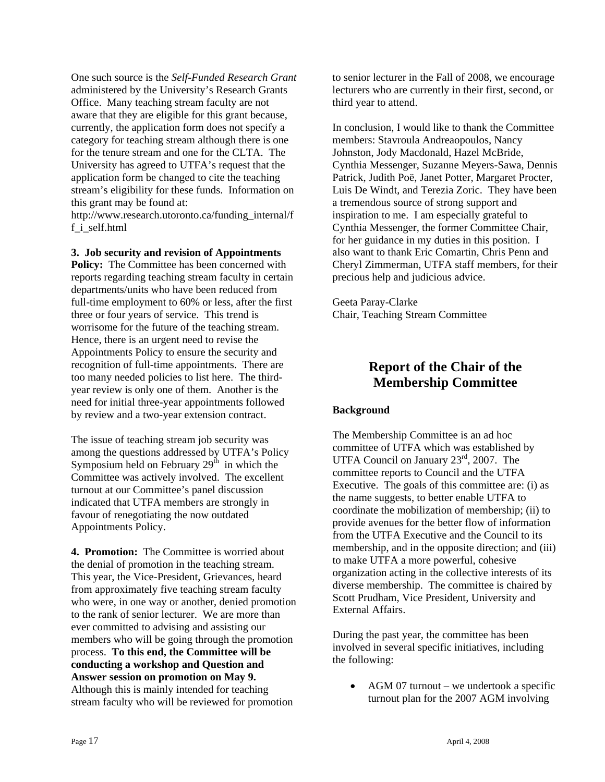One such source is the *Self-Funded Research Grant* administered by the University's Research Grants Office. Many teaching stream faculty are not aware that they are eligible for this grant because, currently, the application form does not specify a category for teaching stream although there is one for the tenure stream and one for the CLTA. The University has agreed to UTFA's request that the application form be changed to cite the teaching stream's eligibility for these funds. Information on this grant may be found at: http://www.research.utoronto.ca/funding\_internal/f

f\_i\_self.html

**3. Job security and revision of Appointments Policy:** The Committee has been concerned with reports regarding teaching stream faculty in certain departments/units who have been reduced from full-time employment to 60% or less, after the first three or four years of service. This trend is worrisome for the future of the teaching stream. Hence, there is an urgent need to revise the Appointments Policy to ensure the security and recognition of full-time appointments. There are too many needed policies to list here. The thirdyear review is only one of them. Another is the need for initial three-year appointments followed by review and a two-year extension contract.

The issue of teaching stream job security was among the questions addressed by UTFA's Policy Symposium held on February  $29<sup>th</sup>$  in which the Committee was actively involved. The excellent turnout at our Committee's panel discussion indicated that UTFA members are strongly in favour of renegotiating the now outdated Appointments Policy.

**4. Promotion:** The Committee is worried about the denial of promotion in the teaching stream. This year, the Vice-President, Grievances, heard from approximately five teaching stream faculty who were, in one way or another, denied promotion to the rank of senior lecturer. We are more than ever committed to advising and assisting our members who will be going through the promotion process. **To this end, the Committee will be conducting a workshop and Question and Answer session on promotion on May 9.** Although this is mainly intended for teaching stream faculty who will be reviewed for promotion

to senior lecturer in the Fall of 2008, we encourage lecturers who are currently in their first, second, or third year to attend.

In conclusion, I would like to thank the Committee members: Stavroula Andreaopoulos, Nancy Johnston, Jody Macdonald, Hazel McBride, Cynthia Messenger, Suzanne Meyers-Sawa, Dennis Patrick, Judith Poë, Janet Potter, Margaret Procter, Luis De Windt, and Terezia Zoric. They have been a tremendous source of strong support and inspiration to me. I am especially grateful to Cynthia Messenger, the former Committee Chair, for her guidance in my duties in this position. I also want to thank Eric Comartin, Chris Penn and Cheryl Zimmerman, UTFA staff members, for their precious help and judicious advice.

Geeta Paray-Clarke Chair, Teaching Stream Committee

## **Report of the Chair of the Membership Committee**

#### **Background**

The Membership Committee is an ad hoc committee of UTFA which was established by UTFA Council on January 23<sup>rd</sup>, 2007. The committee reports to Council and the UTFA Executive. The goals of this committee are: (i) as the name suggests, to better enable UTFA to coordinate the mobilization of membership; (ii) to provide avenues for the better flow of information from the UTFA Executive and the Council to its membership, and in the opposite direction; and (iii) to make UTFA a more powerful, cohesive organization acting in the collective interests of its diverse membership. The committee is chaired by Scott Prudham, Vice President, University and External Affairs.

During the past year, the committee has been involved in several specific initiatives, including the following:

• AGM 07 turnout – we undertook a specific turnout plan for the 2007 AGM involving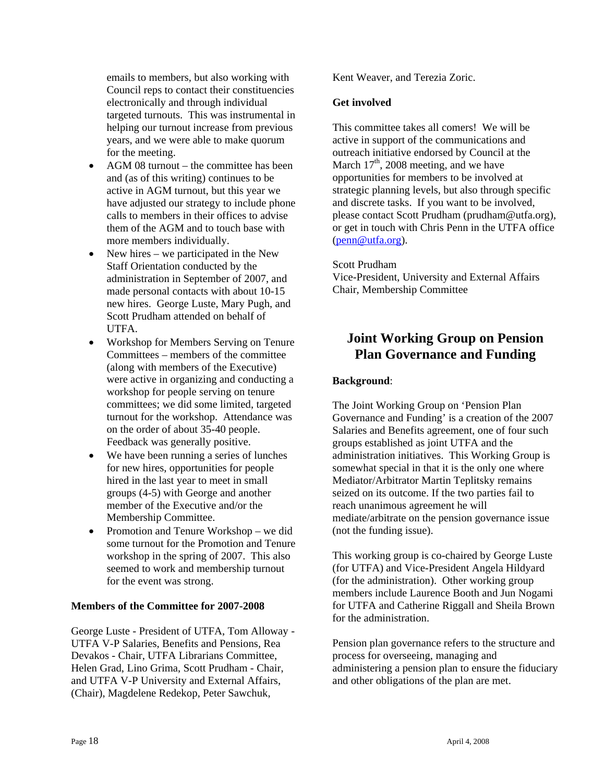emails to members, but also working with Council reps to contact their constituencies electronically and through individual targeted turnouts. This was instrumental in helping our turnout increase from previous years, and we were able to make quorum for the meeting.

- AGM 08 turnout the committee has been and (as of this writing) continues to be active in AGM turnout, but this year we have adjusted our strategy to include phone calls to members in their offices to advise them of the AGM and to touch base with more members individually.
- New hires we participated in the New Staff Orientation conducted by the administration in September of 2007, and made personal contacts with about 10-15 new hires. George Luste, Mary Pugh, and Scott Prudham attended on behalf of UTFA.
- Workshop for Members Serving on Tenure Committees – members of the committee (along with members of the Executive) were active in organizing and conducting a workshop for people serving on tenure committees; we did some limited, targeted turnout for the workshop. Attendance was on the order of about 35-40 people. Feedback was generally positive.
- We have been running a series of lunches for new hires, opportunities for people hired in the last year to meet in small groups (4-5) with George and another member of the Executive and/or the Membership Committee.
- Promotion and Tenure Workshop we did some turnout for the Promotion and Tenure workshop in the spring of 2007. This also seemed to work and membership turnout for the event was strong.

#### **Members of the Committee for 2007-2008**

George Luste - President of UTFA, Tom Alloway - UTFA V-P Salaries, Benefits and Pensions, Rea Devakos - Chair, UTFA Librarians Committee, Helen Grad, Lino Grima, Scott Prudham - Chair, and UTFA V-P University and External Affairs, (Chair), Magdelene Redekop, Peter Sawchuk,

Kent Weaver, and Terezia Zoric.

#### **Get involved**

This committee takes all comers! We will be active in support of the communications and outreach initiative endorsed by Council at the March  $17<sup>th</sup>$ , 2008 meeting, and we have opportunities for members to be involved at strategic planning levels, but also through specific and discrete tasks. If you want to be involved, please contact Scott Prudham (prudham@utfa.org), or get in touch with Chris Penn in the UTFA office (penn@utfa.org).

#### Scott Prudham

Vice-President, University and External Affairs Chair, Membership Committee

### **Joint Working Group on Pension Plan Governance and Funding**

#### **Background**:

The Joint Working Group on 'Pension Plan Governance and Funding' is a creation of the 2007 Salaries and Benefits agreement, one of four such groups established as joint UTFA and the administration initiatives. This Working Group is somewhat special in that it is the only one where Mediator/Arbitrator Martin Teplitsky remains seized on its outcome. If the two parties fail to reach unanimous agreement he will mediate/arbitrate on the pension governance issue (not the funding issue).

This working group is co-chaired by George Luste (for UTFA) and Vice-President Angela Hildyard (for the administration). Other working group members include Laurence Booth and Jun Nogami for UTFA and Catherine Riggall and Sheila Brown for the administration.

Pension plan governance refers to the structure and process for overseeing, managing and administering a pension plan to ensure the fiduciary and other obligations of the plan are met.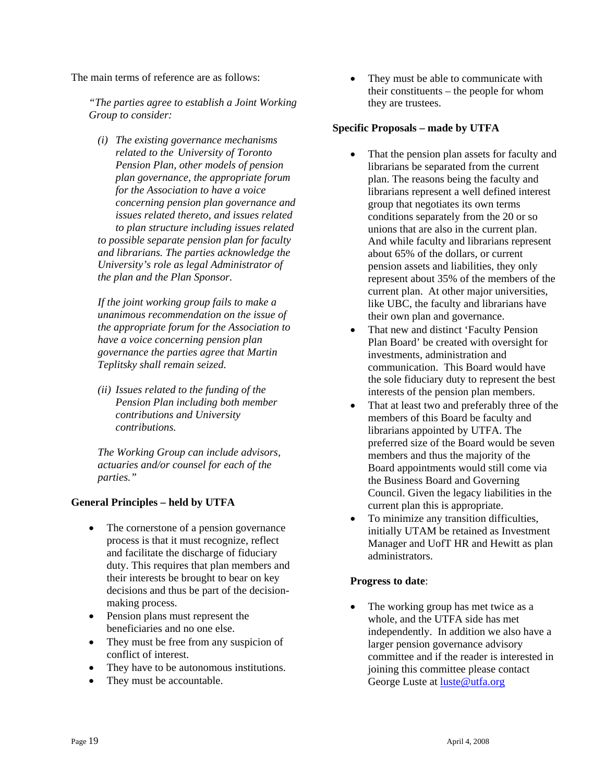The main terms of reference are as follows:

*"The parties agree to establish a Joint Working Group to consider:* 

*(i) The existing governance mechanisms related to the University of Toronto Pension Plan, other models of pension plan governance, the appropriate forum for the Association to have a voice concerning pension plan governance and issues related thereto, and issues related to plan structure including issues related to possible separate pension plan for faculty and librarians. The parties acknowledge the University's role as legal Administrator of the plan and the Plan Sponsor.* 

*If the joint working group fails to make a unanimous recommendation on the issue of the appropriate forum for the Association to have a voice concerning pension plan governance the parties agree that Martin Teplitsky shall remain seized.* 

*(ii) Issues related to the funding of the Pension Plan including both member contributions and University contributions.* 

*The Working Group can include advisors, actuaries and/or counsel for each of the parties."* 

#### **General Principles – held by UTFA**

- The cornerstone of a pension governance process is that it must recognize, reflect and facilitate the discharge of fiduciary duty. This requires that plan members and their interests be brought to bear on key decisions and thus be part of the decisionmaking process.
- Pension plans must represent the beneficiaries and no one else.
- They must be free from any suspicion of conflict of interest.
- They have to be autonomous institutions.
- They must be accountable.

• They must be able to communicate with their constituents – the people for whom they are trustees.

#### **Specific Proposals – made by UTFA**

- That the pension plan assets for faculty and librarians be separated from the current plan. The reasons being the faculty and librarians represent a well defined interest group that negotiates its own terms conditions separately from the 20 or so unions that are also in the current plan. And while faculty and librarians represent about 65% of the dollars, or current pension assets and liabilities, they only represent about 35% of the members of the current plan. At other major universities, like UBC, the faculty and librarians have their own plan and governance.
- That new and distinct 'Faculty Pension Plan Board' be created with oversight for investments, administration and communication. This Board would have the sole fiduciary duty to represent the best interests of the pension plan members.
- That at least two and preferably three of the members of this Board be faculty and librarians appointed by UTFA. The preferred size of the Board would be seven members and thus the majority of the Board appointments would still come via the Business Board and Governing Council. Given the legacy liabilities in the current plan this is appropriate.
- To minimize any transition difficulties, initially UTAM be retained as Investment Manager and UofT HR and Hewitt as plan administrators.

#### **Progress to date**:

• The working group has met twice as a whole, and the UTFA side has met independently. In addition we also have a larger pension governance advisory committee and if the reader is interested in joining this committee please contact George Luste at luste@utfa.org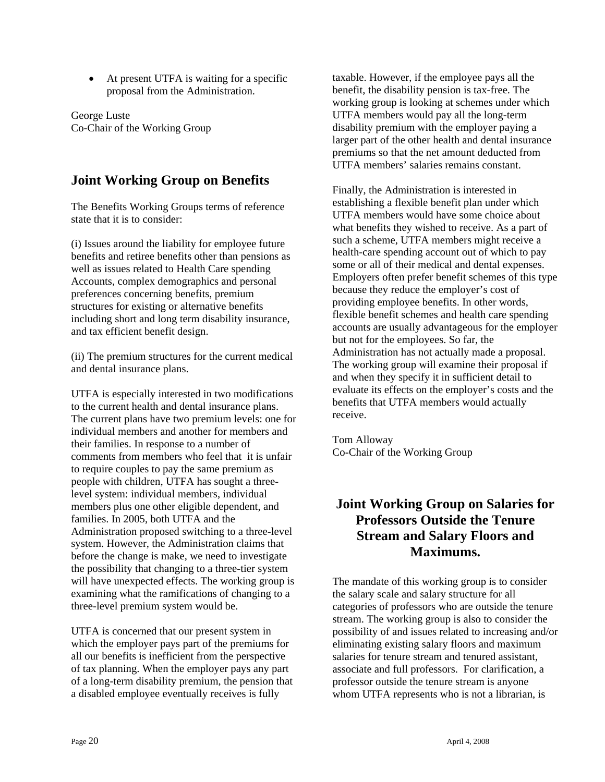• At present UTFA is waiting for a specific proposal from the Administration.

George Luste Co-Chair of the Working Group

## **Joint Working Group on Benefits**

The Benefits Working Groups terms of reference state that it is to consider:

(i) Issues around the liability for employee future benefits and retiree benefits other than pensions as well as issues related to Health Care spending Accounts, complex demographics and personal preferences concerning benefits, premium structures for existing or alternative benefits including short and long term disability insurance, and tax efficient benefit design.

(ii) The premium structures for the current medical and dental insurance plans.

UTFA is especially interested in two modifications to the current health and dental insurance plans. The current plans have two premium levels: one for individual members and another for members and their families. In response to a number of comments from members who feel that it is unfair to require couples to pay the same premium as people with children, UTFA has sought a threelevel system: individual members, individual members plus one other eligible dependent, and families. In 2005, both UTFA and the Administration proposed switching to a three-level system. However, the Administration claims that before the change is make, we need to investigate the possibility that changing to a three-tier system will have unexpected effects. The working group is examining what the ramifications of changing to a three-level premium system would be.

UTFA is concerned that our present system in which the employer pays part of the premiums for all our benefits is inefficient from the perspective of tax planning. When the employer pays any part of a long-term disability premium, the pension that a disabled employee eventually receives is fully

taxable. However, if the employee pays all the benefit, the disability pension is tax-free. The working group is looking at schemes under which UTFA members would pay all the long-term disability premium with the employer paying a larger part of the other health and dental insurance premiums so that the net amount deducted from UTFA members' salaries remains constant.

Finally, the Administration is interested in establishing a flexible benefit plan under which UTFA members would have some choice about what benefits they wished to receive. As a part of such a scheme, UTFA members might receive a health-care spending account out of which to pay some or all of their medical and dental expenses. Employers often prefer benefit schemes of this type because they reduce the employer's cost of providing employee benefits. In other words, flexible benefit schemes and health care spending accounts are usually advantageous for the employer but not for the employees. So far, the Administration has not actually made a proposal. The working group will examine their proposal if and when they specify it in sufficient detail to evaluate its effects on the employer's costs and the benefits that UTFA members would actually receive.

Tom Alloway Co-Chair of the Working Group

## **Joint Working Group on Salaries for Professors Outside the Tenure Stream and Salary Floors and Maximums.**

The mandate of this working group is to consider the salary scale and salary structure for all categories of professors who are outside the tenure stream. The working group is also to consider the possibility of and issues related to increasing and/or eliminating existing salary floors and maximum salaries for tenure stream and tenured assistant, associate and full professors. For clarification, a professor outside the tenure stream is anyone whom UTFA represents who is not a librarian, is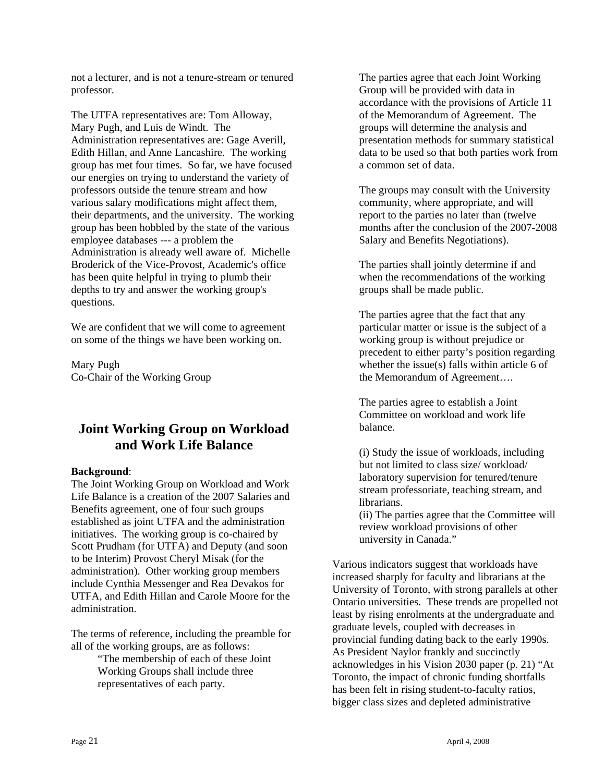not a lecturer, and is not a tenure-stream or tenured professor.

The UTFA representatives are: Tom Alloway, Mary Pugh, and Luis de Windt. The Administration representatives are: Gage Averill, Edith Hillan, and Anne Lancashire. The working group has met four times. So far, we have focused our energies on trying to understand the variety of professors outside the tenure stream and how various salary modifications might affect them, their departments, and the university. The working group has been hobbled by the state of the various employee databases --- a problem the Administration is already well aware of. Michelle Broderick of the Vice-Provost, Academic's office has been quite helpful in trying to plumb their depths to try and answer the working group's questions.

We are confident that we will come to agreement on some of the things we have been working on.

Mary Pugh Co-Chair of the Working Group

## **Joint Working Group on Workload and Work Life Balance**

#### **Background**:

The Joint Working Group on Workload and Work Life Balance is a creation of the 2007 Salaries and Benefits agreement, one of four such groups established as joint UTFA and the administration initiatives. The working group is co-chaired by Scott Prudham (for UTFA) and Deputy (and soon to be Interim) Provost Cheryl Misak (for the administration). Other working group members include Cynthia Messenger and Rea Devakos for UTFA, and Edith Hillan and Carole Moore for the administration.

The terms of reference, including the preamble for all of the working groups, are as follows:

> "The membership of each of these Joint Working Groups shall include three representatives of each party.

The parties agree that each Joint Working Group will be provided with data in accordance with the provisions of Article 11 of the Memorandum of Agreement. The groups will determine the analysis and presentation methods for summary statistical data to be used so that both parties work from a common set of data.

The groups may consult with the University community, where appropriate, and will report to the parties no later than (twelve months after the conclusion of the 2007-2008 Salary and Benefits Negotiations).

The parties shall jointly determine if and when the recommendations of the working groups shall be made public.

The parties agree that the fact that any particular matter or issue is the subject of a working group is without prejudice or precedent to either party's position regarding whether the issue(s) falls within article 6 of the Memorandum of Agreement….

The parties agree to establish a Joint Committee on workload and work life balance.

(i) Study the issue of workloads, including but not limited to class size/ workload/ laboratory supervision for tenured/tenure stream professoriate, teaching stream, and librarians.

(ii) The parties agree that the Committee will review workload provisions of other university in Canada."

Various indicators suggest that workloads have increased sharply for faculty and librarians at the University of Toronto, with strong parallels at other Ontario universities. These trends are propelled not least by rising enrolments at the undergraduate and graduate levels, coupled with decreases in provincial funding dating back to the early 1990s. As President Naylor frankly and succinctly acknowledges in his Vision 2030 paper (p. 21) "At Toronto, the impact of chronic funding shortfalls has been felt in rising student-to-faculty ratios, bigger class sizes and depleted administrative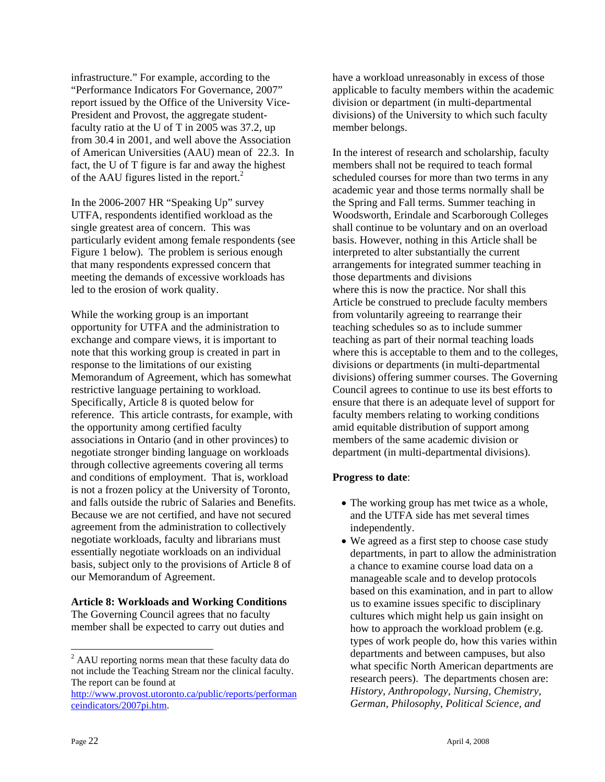infrastructure." For example, according to the "Performance Indicators For Governance, 2007" report issued by the Office of the University Vice-President and Provost, the aggregate studentfaculty ratio at the U of T in 2005 was 37.2, up from 30.4 in 2001, and well above the Association of American Universities (AAU) mean of 22.3. In fact, the U of T figure is far and away the highest of the AAU figures listed in the report. $2$ 

In the 2006-2007 HR "Speaking Up" survey UTFA, respondents identified workload as the single greatest area of concern. This was particularly evident among female respondents (see Figure 1 below). The problem is serious enough that many respondents expressed concern that meeting the demands of excessive workloads has led to the erosion of work quality.

While the working group is an important opportunity for UTFA and the administration to exchange and compare views, it is important to note that this working group is created in part in response to the limitations of our existing Memorandum of Agreement, which has somewhat restrictive language pertaining to workload. Specifically, Article 8 is quoted below for reference. This article contrasts, for example, with the opportunity among certified faculty associations in Ontario (and in other provinces) to negotiate stronger binding language on workloads through collective agreements covering all terms and conditions of employment. That is, workload is not a frozen policy at the University of Toronto, and falls outside the rubric of Salaries and Benefits. Because we are not certified, and have not secured agreement from the administration to collectively negotiate workloads, faculty and librarians must essentially negotiate workloads on an individual basis, subject only to the provisions of Article 8 of our Memorandum of Agreement.

#### **Article 8: Workloads and Working Conditions**

The Governing Council agrees that no faculty member shall be expected to carry out duties and have a workload unreasonably in excess of those applicable to faculty members within the academic division or department (in multi-departmental divisions) of the University to which such faculty member belongs.

In the interest of research and scholarship, faculty members shall not be required to teach formal scheduled courses for more than two terms in any academic year and those terms normally shall be the Spring and Fall terms. Summer teaching in Woodsworth, Erindale and Scarborough Colleges shall continue to be voluntary and on an overload basis. However, nothing in this Article shall be interpreted to alter substantially the current arrangements for integrated summer teaching in those departments and divisions where this is now the practice. Nor shall this Article be construed to preclude faculty members from voluntarily agreeing to rearrange their teaching schedules so as to include summer teaching as part of their normal teaching loads where this is acceptable to them and to the colleges, divisions or departments (in multi-departmental divisions) offering summer courses. The Governing Council agrees to continue to use its best efforts to ensure that there is an adequate level of support for faculty members relating to working conditions amid equitable distribution of support among members of the same academic division or department (in multi-departmental divisions).

#### **Progress to date**:

- The working group has met twice as a whole, and the UTFA side has met several times independently.
- We agreed as a first step to choose case study departments, in part to allow the administration a chance to examine course load data on a manageable scale and to develop protocols based on this examination, and in part to allow us to examine issues specific to disciplinary cultures which might help us gain insight on how to approach the workload problem (e.g. types of work people do, how this varies within departments and between campuses, but also what specific North American departments are research peers). The departments chosen are: *History, Anthropology, Nursing, Chemistry, German, Philosophy, Political Science, and*

 $\overline{a}$ 

 $2^2$  AAU reporting norms mean that these faculty data do not include the Teaching Stream nor the clinical faculty. The report can be found at

http://www.provost.utoronto.ca/public/reports/performan ceindicators/2007pi.htm.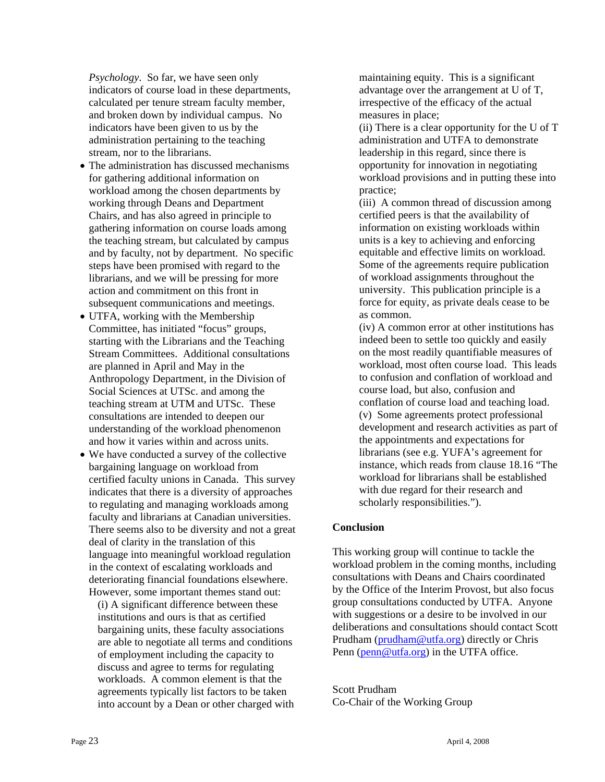*Psychology*. So far, we have seen only indicators of course load in these departments, calculated per tenure stream faculty member, and broken down by individual campus. No indicators have been given to us by the administration pertaining to the teaching stream, nor to the librarians.

- The administration has discussed mechanisms for gathering additional information on workload among the chosen departments by working through Deans and Department Chairs, and has also agreed in principle to gathering information on course loads among the teaching stream, but calculated by campus and by faculty, not by department. No specific steps have been promised with regard to the librarians, and we will be pressing for more action and commitment on this front in subsequent communications and meetings.
- UTFA, working with the Membership Committee, has initiated "focus" groups, starting with the Librarians and the Teaching Stream Committees. Additional consultations are planned in April and May in the Anthropology Department, in the Division of Social Sciences at UTSc. and among the teaching stream at UTM and UTSc. These consultations are intended to deepen our understanding of the workload phenomenon and how it varies within and across units.
- We have conducted a survey of the collective bargaining language on workload from certified faculty unions in Canada. This survey indicates that there is a diversity of approaches to regulating and managing workloads among faculty and librarians at Canadian universities. There seems also to be diversity and not a great deal of clarity in the translation of this language into meaningful workload regulation in the context of escalating workloads and deteriorating financial foundations elsewhere. However, some important themes stand out:

(i) A significant difference between these institutions and ours is that as certified bargaining units, these faculty associations are able to negotiate all terms and conditions of employment including the capacity to discuss and agree to terms for regulating workloads. A common element is that the agreements typically list factors to be taken into account by a Dean or other charged with maintaining equity. This is a significant advantage over the arrangement at U of T, irrespective of the efficacy of the actual measures in place;

(ii) There is a clear opportunity for the U of T administration and UTFA to demonstrate leadership in this regard, since there is opportunity for innovation in negotiating workload provisions and in putting these into practice;

(iii) A common thread of discussion among certified peers is that the availability of information on existing workloads within units is a key to achieving and enforcing equitable and effective limits on workload. Some of the agreements require publication of workload assignments throughout the university. This publication principle is a force for equity, as private deals cease to be as common.

(iv) A common error at other institutions has indeed been to settle too quickly and easily on the most readily quantifiable measures of workload, most often course load. This leads to confusion and conflation of workload and course load, but also, confusion and conflation of course load and teaching load. (v) Some agreements protect professional development and research activities as part of the appointments and expectations for librarians (see e.g. YUFA's agreement for instance, which reads from clause 18.16 "The workload for librarians shall be established with due regard for their research and scholarly responsibilities.").

#### **Conclusion**

This working group will continue to tackle the workload problem in the coming months, including consultations with Deans and Chairs coordinated by the Office of the Interim Provost, but also focus group consultations conducted by UTFA. Anyone with suggestions or a desire to be involved in our deliberations and consultations should contact Scott Prudham (prudham@utfa.org) directly or Chris Penn (penn@utfa.org) in the UTFA office.

Scott Prudham Co-Chair of the Working Group